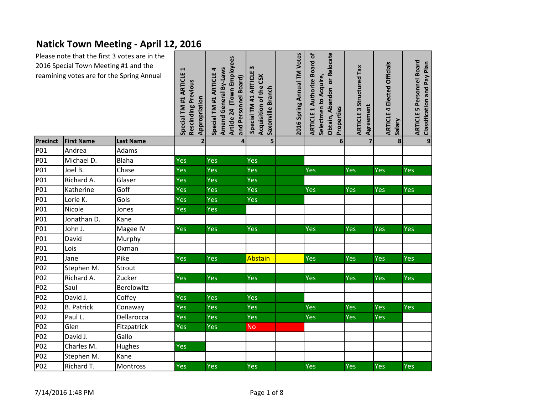## **Natick Town Meeting - April 12, 2016**

| Please note that the first 3 votes are in the<br>2016 Special Town Meeting #1 and the<br>reamining votes are for the Spring Annual |                   | Special TM #1 ARTICLE 1<br>Rescinding Previous<br>Appropriation | Article 24 (Town Employees<br>Amend General By-Laws<br>Special TM #1 ARTICLE 4<br>and Personnel Board) | m<br>Special TM #1 ARTICLE<br>Acquisition of the CSX<br>Saxonville Branch | 2016 Spring Annual TM Votes | Obtain, Abandon or Relocate<br><b>ARTICLE 1 Authorize Board of</b><br>Selectmen to Acquire,<br>Properties | <b>ARTICLE 3 Structured Tax</b><br>Agreement | <b>ARTICLE 4 Elected Officials</b><br>Salary | <b>ARTICLE 5 Personnel Board</b><br>Classification and Pay Plan |              |
|------------------------------------------------------------------------------------------------------------------------------------|-------------------|-----------------------------------------------------------------|--------------------------------------------------------------------------------------------------------|---------------------------------------------------------------------------|-----------------------------|-----------------------------------------------------------------------------------------------------------|----------------------------------------------|----------------------------------------------|-----------------------------------------------------------------|--------------|
| Precinct                                                                                                                           | <b>First Name</b> | <b>Last Name</b>                                                | $\overline{2}$                                                                                         | $\overline{\mathbf{4}}$                                                   | 5                           |                                                                                                           | $6 \overline{6}$                             | $\overline{7}$                               | $\mathbf{8}$                                                    | $\mathbf{9}$ |
| P01                                                                                                                                | Andrea            | Adams                                                           |                                                                                                        |                                                                           |                             |                                                                                                           |                                              |                                              |                                                                 |              |
| P01                                                                                                                                | Michael D.        | Blaha                                                           | Yes                                                                                                    | Yes                                                                       | Yes                         |                                                                                                           |                                              |                                              |                                                                 |              |
| P01                                                                                                                                | Joel B.           | Chase                                                           | Yes                                                                                                    | Yes                                                                       | Yes                         |                                                                                                           | Yes                                          | Yes                                          | Yes                                                             | Yes          |
| P01                                                                                                                                | Richard A.        | Glaser                                                          | Yes                                                                                                    | Yes                                                                       | Yes                         |                                                                                                           |                                              |                                              |                                                                 |              |
| P01                                                                                                                                | Katherine         | Goff                                                            | Yes                                                                                                    | Yes                                                                       | Yes                         |                                                                                                           | Yes                                          | <b>Yes</b>                                   | Yes                                                             | Yes          |
| P01                                                                                                                                | Lorie K.          | Gols                                                            | Yes                                                                                                    | Yes                                                                       | Yes                         |                                                                                                           |                                              |                                              |                                                                 |              |
| P01                                                                                                                                | Nicole            | Jones                                                           | Yes                                                                                                    | Yes                                                                       |                             |                                                                                                           |                                              |                                              |                                                                 |              |
| P01                                                                                                                                | Jonathan D.       | Kane                                                            |                                                                                                        |                                                                           |                             |                                                                                                           |                                              |                                              |                                                                 |              |
| P01                                                                                                                                | John J.           | Magee IV                                                        | <b>Yes</b>                                                                                             | Yes                                                                       | <b>Yes</b>                  |                                                                                                           | Yes                                          | <b>Yes</b>                                   | Yes                                                             | Yes          |
| P01                                                                                                                                | David             | Murphy                                                          |                                                                                                        |                                                                           |                             |                                                                                                           |                                              |                                              |                                                                 |              |
| P01                                                                                                                                | Lois              | Oxman                                                           |                                                                                                        |                                                                           |                             |                                                                                                           |                                              |                                              |                                                                 |              |
| P01                                                                                                                                | Jane              | Pike                                                            | Yes                                                                                                    | Yes                                                                       | Abstain                     |                                                                                                           | Yes                                          | <b>Yes</b>                                   | Yes                                                             | Yes          |
| P02                                                                                                                                | Stephen M.        | Strout                                                          |                                                                                                        |                                                                           |                             |                                                                                                           |                                              |                                              |                                                                 |              |
| P02                                                                                                                                | Richard A.        | Zucker                                                          | Yes                                                                                                    | Yes                                                                       | Yes                         |                                                                                                           | Yes                                          | Yes                                          | Yes                                                             | Yes          |
| P02                                                                                                                                | Saul              | Berelowitz                                                      |                                                                                                        |                                                                           |                             |                                                                                                           |                                              |                                              |                                                                 |              |
| P02                                                                                                                                | David J.          | Coffey                                                          | Yes                                                                                                    | Yes                                                                       | Yes                         |                                                                                                           |                                              |                                              |                                                                 |              |
| P02                                                                                                                                | <b>B.</b> Patrick | Conaway                                                         | Yes                                                                                                    | Yes                                                                       | Yes                         |                                                                                                           | Yes                                          | Yes                                          | Yes                                                             | <b>Yes</b>   |
| P02                                                                                                                                | Paul L.           | Dellarocca                                                      | Yes                                                                                                    | Yes                                                                       | <b>Yes</b>                  |                                                                                                           | Yes                                          | <b>Yes</b>                                   | Yes                                                             |              |
| P02                                                                                                                                | Glen              | Fitzpatrick                                                     | Yes                                                                                                    | Yes                                                                       | <b>No</b>                   |                                                                                                           |                                              |                                              |                                                                 |              |
| P02                                                                                                                                | David J.          | Gallo                                                           |                                                                                                        |                                                                           |                             |                                                                                                           |                                              |                                              |                                                                 |              |
| P02                                                                                                                                | Charles M.        | Hughes                                                          | Yes                                                                                                    |                                                                           |                             |                                                                                                           |                                              |                                              |                                                                 |              |
| P02                                                                                                                                | Stephen M.        | Kane                                                            |                                                                                                        |                                                                           |                             |                                                                                                           |                                              |                                              |                                                                 |              |
| P02                                                                                                                                | Richard T.        | Montross                                                        | Yes                                                                                                    | Yes                                                                       | Yes                         |                                                                                                           | Yes                                          | Yes                                          | Yes                                                             | Yes          |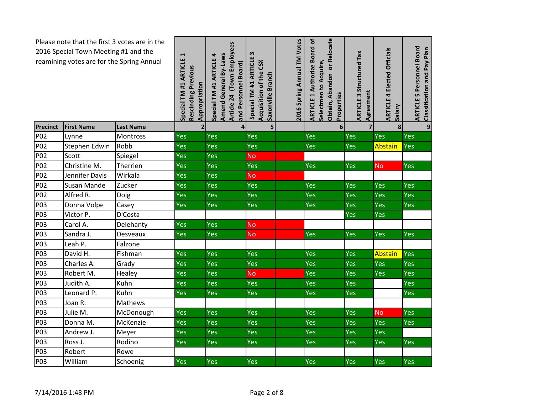| Please note that the first 3 votes are in the<br>2016 Special Town Meeting #1 and the<br>reamining votes are for the Spring Annual |                    | Special TM #1 ARTICLE 1<br>Rescinding Previous<br>Appropriation | Article 24 (Town Employees<br>Amend General By-Laws<br>Special TM #1 ARTICLE 4<br>and Personnel Board) | w<br>ARTICLE<br>Acquisition of the CSX<br>Saxonville Branch<br>Special TM #1 | 2016 Spring Annual TM Votes | Obtain, Abandon or Relocate<br><b>ARTICLE 1 Authorize Board of</b><br>Selectmen to Acquire,<br>Properties | <b>ARTICLE 3 Structured Tax</b><br>Agreement | <b>ARTICLE 4 Elected Officials</b><br>Salary | <b>ARTICLE 5 Personnel Board</b><br>Classification and Pay Plan |              |
|------------------------------------------------------------------------------------------------------------------------------------|--------------------|-----------------------------------------------------------------|--------------------------------------------------------------------------------------------------------|------------------------------------------------------------------------------|-----------------------------|-----------------------------------------------------------------------------------------------------------|----------------------------------------------|----------------------------------------------|-----------------------------------------------------------------|--------------|
| <b>Precinct</b>                                                                                                                    | <b>First Name</b>  | <b>Last Name</b>                                                | $\overline{2}$                                                                                         | 4                                                                            | 5                           |                                                                                                           | 6 <sup>1</sup>                               | $\overline{7}$                               | 8                                                               | $\mathbf{9}$ |
| P <sub>02</sub>                                                                                                                    | Lynne              | Montross                                                        | <b>Yes</b>                                                                                             | Yes                                                                          | Yes                         |                                                                                                           | Yes                                          | Yes                                          | Yes                                                             | Yes          |
| P02                                                                                                                                | Stephen Edwin      | Robb                                                            | Yes                                                                                                    | Yes                                                                          | Yes                         |                                                                                                           | Yes                                          | Yes                                          | Abstain                                                         | Yes          |
| P02                                                                                                                                | Scott              | Spiegel                                                         | Yes                                                                                                    | Yes                                                                          | <b>No</b>                   |                                                                                                           |                                              |                                              |                                                                 |              |
| P02                                                                                                                                | Christine M.       | Therrien                                                        | <b>Yes</b>                                                                                             | <b>Yes</b>                                                                   | Yes                         |                                                                                                           | Yes                                          | <b>Yes</b>                                   | <b>No</b>                                                       | Yes          |
| P02                                                                                                                                | Jennifer Davis     | Wirkala                                                         | <b>Yes</b>                                                                                             | Yes                                                                          | <b>No</b>                   |                                                                                                           |                                              |                                              |                                                                 |              |
| <b>P02</b>                                                                                                                         | <b>Susan Mande</b> | Zucker                                                          | <b>Yes</b>                                                                                             | Yes                                                                          | Yes                         |                                                                                                           | Yes                                          | Yes                                          | Yes                                                             | Yes          |
| P02                                                                                                                                | Alfred R.          | Doig                                                            | Yes                                                                                                    | Yes                                                                          | Yes                         |                                                                                                           | Yes                                          | Yes                                          | Yes                                                             | <b>Yes</b>   |
| P03                                                                                                                                | Donna Volpe        | Casey                                                           | <b>Yes</b>                                                                                             | <b>Yes</b>                                                                   | Yes                         |                                                                                                           | Yes                                          | Yes                                          | Yes                                                             | Yes          |
| P03                                                                                                                                | Victor P.          | D'Costa                                                         |                                                                                                        |                                                                              |                             |                                                                                                           |                                              | Yes                                          | Yes                                                             |              |
| P03                                                                                                                                | Carol A.           | Delehanty                                                       | Yes                                                                                                    | <b>Yes</b>                                                                   | <b>No</b>                   |                                                                                                           |                                              |                                              |                                                                 |              |
| P03                                                                                                                                | Sandra J.          | Desveaux                                                        | <b>Yes</b>                                                                                             | Yes                                                                          | <b>No</b>                   |                                                                                                           | Yes                                          | Yes                                          | Yes                                                             | Yes          |
| P03                                                                                                                                | Leah P.            | Falzone                                                         |                                                                                                        |                                                                              |                             |                                                                                                           |                                              |                                              |                                                                 |              |
| P03                                                                                                                                | David H.           | Fishman                                                         | Yes                                                                                                    | Yes                                                                          | Yes                         |                                                                                                           | Yes                                          | Yes                                          | Abstain                                                         | Yes          |
| P03                                                                                                                                | Charles A.         | Grady                                                           | Yes                                                                                                    | Yes                                                                          | Yes                         |                                                                                                           | <b>Yes</b>                                   | Yes                                          | Yes                                                             | Yes          |
| P03                                                                                                                                | Robert M.          | Healey                                                          | Yes                                                                                                    | Yes                                                                          | No.                         |                                                                                                           | Yes                                          | Yes                                          | Yes                                                             | Yes          |
| P03                                                                                                                                | Judith A.          | Kuhn                                                            | Yes                                                                                                    | Yes                                                                          | Yes                         |                                                                                                           | Yes                                          | Yes                                          |                                                                 | Yes          |
| P03                                                                                                                                | Leonard P.         | Kuhn                                                            | <b>Yes</b>                                                                                             | Yes                                                                          | Yes                         |                                                                                                           | Yes                                          | Yes                                          |                                                                 | Yes          |
| P03                                                                                                                                | Joan R.            | Mathews                                                         |                                                                                                        |                                                                              |                             |                                                                                                           |                                              |                                              |                                                                 |              |
| P03                                                                                                                                | Julie M.           | McDonough                                                       | Yes                                                                                                    | Yes                                                                          | Yes                         |                                                                                                           | Yes                                          | Yes                                          | <b>No</b>                                                       | Yes          |
| P03                                                                                                                                | Donna M.           | McKenzie                                                        | <b>Yes</b>                                                                                             | Yes                                                                          | Yes                         |                                                                                                           | Yes                                          | Yes                                          | Yes                                                             | Yes          |
| P03                                                                                                                                | Andrew J.          | Meyer                                                           | Yes                                                                                                    | Yes                                                                          | Yes                         |                                                                                                           | Yes                                          | Yes                                          | Yes                                                             |              |
| P03                                                                                                                                | Ross J.            | Rodino                                                          | Yes                                                                                                    | Yes                                                                          | Yes                         |                                                                                                           | Yes                                          | Yes                                          | Yes                                                             | Yes          |
| P03                                                                                                                                | Robert             | Rowe                                                            |                                                                                                        |                                                                              |                             |                                                                                                           |                                              |                                              |                                                                 |              |
| P03                                                                                                                                | William            | Schoenig                                                        | Yes                                                                                                    | Yes                                                                          | Yes                         |                                                                                                           | Yes                                          | Yes                                          | Yes                                                             | Yes          |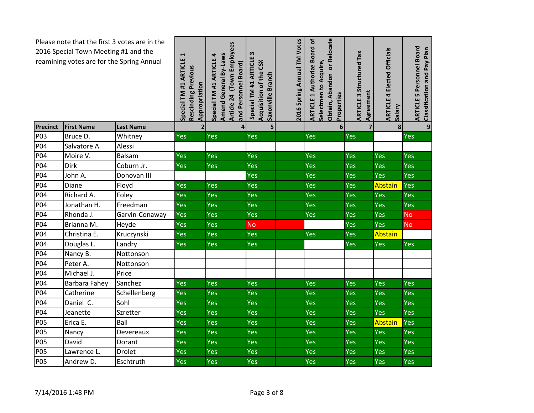| Please note that the first 3 votes are in the<br>2016 Special Town Meeting #1 and the<br>reamining votes are for the Spring Annual |                   |                  | Special TM #1 ARTICLE 1<br>Rescinding Previous<br>Appropriation | Article 24 (Town Employees<br>Amend General By-Laws<br>Special TM #1 ARTICLE 4<br>and Personnel Board) | $\boldsymbol{\omega}$<br><b>ARTICLE</b><br>Acquisition of the CSX<br>Saxonville Branch<br>Special TM #1 | 2016 Spring Annual TM Votes | Obtain, Abandon or Relocate<br><b>ARTICLE 1 Authorize Board of</b><br>Selectmen to Acquire,<br>Properties | <b>ARTICLE 3 Structured Tax</b><br>Agreement | <b>ARTICLE 4 Elected Officials</b><br>Salary | 5 Personnel Board<br>Classification and Pay Plan<br><b>ARTICLE</b> |
|------------------------------------------------------------------------------------------------------------------------------------|-------------------|------------------|-----------------------------------------------------------------|--------------------------------------------------------------------------------------------------------|---------------------------------------------------------------------------------------------------------|-----------------------------|-----------------------------------------------------------------------------------------------------------|----------------------------------------------|----------------------------------------------|--------------------------------------------------------------------|
| Precinct                                                                                                                           | <b>First Name</b> | <b>Last Name</b> | $\overline{2}$                                                  | $\overline{4}$                                                                                         | 5                                                                                                       |                             | 6                                                                                                         | 7                                            | 8                                            | $\overline{9}$                                                     |
| P03                                                                                                                                | Bruce D.          | Whitney          | Yes                                                             | <b>Yes</b>                                                                                             | Yes                                                                                                     |                             | Yes                                                                                                       | Yes                                          |                                              | Yes                                                                |
| P04                                                                                                                                | Salvatore A.      | Alessi           |                                                                 |                                                                                                        |                                                                                                         |                             |                                                                                                           |                                              |                                              |                                                                    |
| P04                                                                                                                                | Moire V.          | <b>Balsam</b>    | Yes                                                             | Yes                                                                                                    | Yes                                                                                                     |                             | Yes                                                                                                       | Yes                                          | Yes                                          | Yes                                                                |
| P04                                                                                                                                | Dirk              | Coburn Jr.       | Yes                                                             | Yes                                                                                                    | Yes                                                                                                     |                             | Yes                                                                                                       | Yes                                          | Yes                                          | Yes                                                                |
| P04                                                                                                                                | John A.           | Donovan III      |                                                                 |                                                                                                        | Yes                                                                                                     |                             | <b>Yes</b>                                                                                                | Yes                                          | Yes                                          | Yes                                                                |
| P04                                                                                                                                | Diane             | Floyd            | Yes                                                             | <b>Yes</b>                                                                                             | Yes                                                                                                     |                             | Yes                                                                                                       | Yes                                          | Abstain                                      | Yes                                                                |
| P04                                                                                                                                | Richard A.        | Foley            | Yes                                                             | Yes                                                                                                    | Yes                                                                                                     |                             | Yes                                                                                                       | Yes                                          | Yes                                          | Yes                                                                |
| P04                                                                                                                                | Jonathan H.       | Freedman         | Yes                                                             | Yes                                                                                                    | Yes                                                                                                     |                             | Yes                                                                                                       | Yes                                          | Yes                                          | Yes                                                                |
| P04                                                                                                                                | Rhonda J.         | Garvin-Conaway   | Yes                                                             | Yes                                                                                                    | Yes                                                                                                     |                             | Yes                                                                                                       | Yes                                          | Yes                                          | <b>No</b>                                                          |
| P04                                                                                                                                | Brianna M.        | Heyde            | Yes                                                             | Yes                                                                                                    | <b>No</b>                                                                                               |                             |                                                                                                           | Yes                                          | <b>Yes</b>                                   | <b>No</b>                                                          |
| <b>P04</b>                                                                                                                         | Christina E.      | Kruczynski       | Yes                                                             | Yes                                                                                                    | Yes                                                                                                     |                             | <b>Yes</b>                                                                                                | Yes                                          | Abstain                                      |                                                                    |
| P04                                                                                                                                | Douglas L.        | Landry           | Yes                                                             | <b>Yes</b>                                                                                             | Yes                                                                                                     |                             |                                                                                                           | Yes                                          | Yes                                          | Yes                                                                |
| P04                                                                                                                                | Nancy B.          | Nottonson        |                                                                 |                                                                                                        |                                                                                                         |                             |                                                                                                           |                                              |                                              |                                                                    |
| P04                                                                                                                                | Peter A.          | Nottonson        |                                                                 |                                                                                                        |                                                                                                         |                             |                                                                                                           |                                              |                                              |                                                                    |
| P04                                                                                                                                | Michael J.        | Price            |                                                                 |                                                                                                        |                                                                                                         |                             |                                                                                                           |                                              |                                              |                                                                    |
| P04                                                                                                                                | Barbara Fahey     | Sanchez          | Yes                                                             | Yes                                                                                                    | Yes                                                                                                     |                             | Yes                                                                                                       | Yes                                          | Yes                                          | Yes                                                                |
| P04                                                                                                                                | Catherine         | Schellenberg     | Yes                                                             | Yes                                                                                                    | Yes                                                                                                     |                             | Yes                                                                                                       | Yes                                          | Yes                                          | Yes                                                                |
| P04                                                                                                                                | Daniel C.         | Sohl             | Yes                                                             | Yes                                                                                                    | Yes                                                                                                     |                             | Yes                                                                                                       | Yes                                          | Yes                                          | <b>Yes</b>                                                         |
| P04                                                                                                                                | Jeanette          | Szretter         | Yes                                                             | Yes                                                                                                    | Yes                                                                                                     |                             | Yes                                                                                                       | Yes                                          | Yes                                          | Yes                                                                |
| <b>P05</b>                                                                                                                         | Erica E.          | Ball             | Yes                                                             | Yes                                                                                                    | Yes                                                                                                     |                             | Yes                                                                                                       | Yes                                          | Abstain                                      | Yes                                                                |
| <b>P05</b>                                                                                                                         | Nancy             | Devereaux        | Yes                                                             | Yes                                                                                                    | Yes                                                                                                     |                             | Yes                                                                                                       | Yes                                          | Yes                                          | Yes                                                                |
| <b>P05</b>                                                                                                                         | David             | Dorant           | Yes                                                             | <b>Yes</b>                                                                                             | Yes                                                                                                     |                             | Yes                                                                                                       | Yes                                          | Yes                                          | Yes                                                                |
| <b>P05</b>                                                                                                                         | Lawrence L.       | <b>Drolet</b>    | Yes                                                             | Yes                                                                                                    | Yes                                                                                                     |                             | Yes                                                                                                       | Yes                                          | Yes                                          | Yes                                                                |
| <b>P05</b>                                                                                                                         | Andrew D.         | Eschtruth        | Yes                                                             | Yes                                                                                                    | Yes                                                                                                     |                             | Yes                                                                                                       | Yes                                          | Yes                                          | Yes                                                                |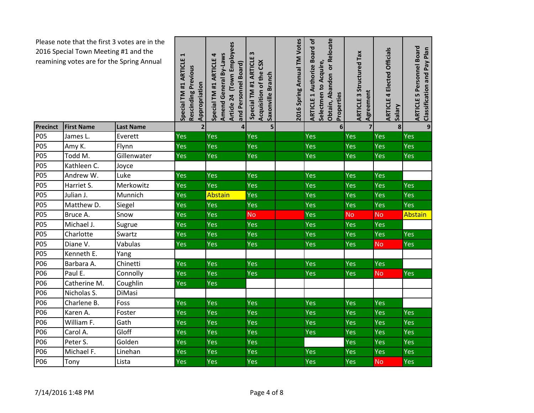| Please note that the first 3 votes are in the<br>2016 Special Town Meeting #1 and the<br>reamining votes are for the Spring Annual |                   | Special TM #1 ARTICLE 1<br>Rescinding Previous<br>Appropriation | Article 24 (Town Employees<br>Amend General By-Laws<br>Special TM #1 ARTICLE 4<br>and Personnel Board) | w<br><b>ARTICLE</b><br>Acquisition of the CSX<br>Saxonville Branch<br>Special TM #1 | 2016 Spring Annual TM Votes | Obtain, Abandon or Relocate<br><b>ARTICLE 1 Authorize Board of</b><br>Selectmen to Acquire,<br>Properties | <b>ARTICLE 3 Structured Tax</b><br>Agreement | <b>ARTICLE 4 Elected Officials</b><br><b>Vieles</b> | 5 Personnel Board<br>Classification and Pay Plan<br><b>ARTICLE</b> |                |
|------------------------------------------------------------------------------------------------------------------------------------|-------------------|-----------------------------------------------------------------|--------------------------------------------------------------------------------------------------------|-------------------------------------------------------------------------------------|-----------------------------|-----------------------------------------------------------------------------------------------------------|----------------------------------------------|-----------------------------------------------------|--------------------------------------------------------------------|----------------|
| <b>Precinct</b>                                                                                                                    | <b>First Name</b> | <b>Last Name</b>                                                | $\overline{2}$                                                                                         | $\overline{\mathbf{4}}$                                                             | 5                           |                                                                                                           | 6                                            | $\overline{7}$                                      | 8                                                                  | $\overline{9}$ |
| <b>P05</b>                                                                                                                         | James L.          | Everett                                                         | Yes                                                                                                    | Yes                                                                                 | Yes                         |                                                                                                           | Yes                                          | Yes                                                 | <b>Yes</b>                                                         | Yes            |
| <b>P05</b>                                                                                                                         | Amy K.            | Flynn                                                           | Yes                                                                                                    | Yes                                                                                 | Yes                         |                                                                                                           | Yes                                          | Yes                                                 | Yes                                                                | Yes            |
| <b>P05</b>                                                                                                                         | Todd M.           | Gillenwater                                                     | Yes                                                                                                    | Yes                                                                                 | Yes                         |                                                                                                           | Yes                                          | Yes                                                 | Yes                                                                | Yes            |
| <b>P05</b>                                                                                                                         | Kathleen C.       | Joyce                                                           |                                                                                                        |                                                                                     |                             |                                                                                                           |                                              |                                                     |                                                                    |                |
| <b>P05</b>                                                                                                                         | Andrew W.         | Luke                                                            | Yes                                                                                                    | <b>Yes</b>                                                                          | Yes                         |                                                                                                           | Yes                                          | Yes                                                 | Yes                                                                |                |
| <b>P05</b>                                                                                                                         | Harriet S.        | Merkowitz                                                       | Yes                                                                                                    | Yes                                                                                 | Yes                         |                                                                                                           | Yes                                          | Yes                                                 | Yes                                                                | Yes            |
| <b>P05</b>                                                                                                                         | Julian J.         | Munnich                                                         | Yes                                                                                                    | Abstain                                                                             | Yes                         |                                                                                                           | Yes                                          | Yes                                                 | Yes                                                                | Yes            |
| <b>P05</b>                                                                                                                         | Matthew D.        | Siegel                                                          | Yes                                                                                                    | Yes                                                                                 | Yes                         |                                                                                                           | Yes                                          | Yes                                                 | Yes                                                                | Yes            |
| <b>P05</b>                                                                                                                         | Bruce A.          | Snow                                                            | Yes                                                                                                    | Yes                                                                                 | <b>No</b>                   |                                                                                                           | Yes                                          | <b>No</b>                                           | <b>No</b>                                                          | <b>Abstain</b> |
| <b>P05</b>                                                                                                                         | Michael J.        | Sugrue                                                          | Yes                                                                                                    | Yes                                                                                 | Yes                         |                                                                                                           | Yes                                          | Yes                                                 | Yes                                                                |                |
| <b>P05</b>                                                                                                                         | Charlotte         | Swartz                                                          | Yes                                                                                                    | Yes                                                                                 | Yes                         |                                                                                                           | Yes                                          | Yes                                                 | Yes                                                                | Yes            |
| <b>P05</b>                                                                                                                         | Diane V.          | Vabulas                                                         | Yes                                                                                                    | <b>Yes</b>                                                                          | Yes                         |                                                                                                           | Yes                                          | Yes                                                 | <b>No</b>                                                          | Yes            |
| <b>P05</b>                                                                                                                         | Kenneth E.        | Yang                                                            |                                                                                                        |                                                                                     |                             |                                                                                                           |                                              |                                                     |                                                                    |                |
| P06                                                                                                                                | Barbara A.        | Chinetti                                                        | Yes                                                                                                    | <b>Yes</b>                                                                          | Yes                         |                                                                                                           | Yes                                          | Yes                                                 | Yes                                                                |                |
| P06                                                                                                                                | Paul E.           | Connolly                                                        | Yes                                                                                                    | Yes                                                                                 | <b>Yes</b>                  |                                                                                                           | Yes                                          | Yes                                                 | <b>No</b>                                                          | Yes            |
| P06                                                                                                                                | Catherine M.      | Coughlin                                                        | Yes                                                                                                    | Yes                                                                                 |                             |                                                                                                           |                                              |                                                     |                                                                    |                |
| P06                                                                                                                                | Nicholas S.       | DiMasi                                                          |                                                                                                        |                                                                                     |                             |                                                                                                           |                                              |                                                     |                                                                    |                |
| P06                                                                                                                                | Charlene B.       | Foss                                                            | Yes                                                                                                    | Yes                                                                                 | Yes                         |                                                                                                           | Yes                                          | Yes                                                 | Yes                                                                |                |
| P06                                                                                                                                | Karen A.          | Foster                                                          | <b>Yes</b>                                                                                             | Yes                                                                                 | Yes                         |                                                                                                           | Yes                                          | Yes                                                 | <b>Yes</b>                                                         | Yes            |
| P06                                                                                                                                | William F.        | Gath                                                            | Yes                                                                                                    | Yes                                                                                 | Yes                         |                                                                                                           | Yes                                          | Yes                                                 | <b>Yes</b>                                                         | Yes            |
| P06                                                                                                                                | Carol A.          | Gloff                                                           | Yes                                                                                                    | Yes                                                                                 | Yes                         |                                                                                                           | Yes                                          | Yes                                                 | Yes                                                                | Yes            |
| P06                                                                                                                                | Peter S.          | Golden                                                          | Yes                                                                                                    | Yes                                                                                 | Yes                         |                                                                                                           |                                              | Yes                                                 | Yes                                                                | Yes            |
| P06                                                                                                                                | Michael F.        | Linehan                                                         | Yes                                                                                                    | Yes                                                                                 | Yes                         |                                                                                                           | Yes                                          | Yes                                                 | Yes                                                                | Yes            |
| P06                                                                                                                                | Tony              | Lista                                                           | Yes                                                                                                    | Yes                                                                                 | Yes                         |                                                                                                           | Yes                                          | Yes                                                 | <b>No</b>                                                          | Yes            |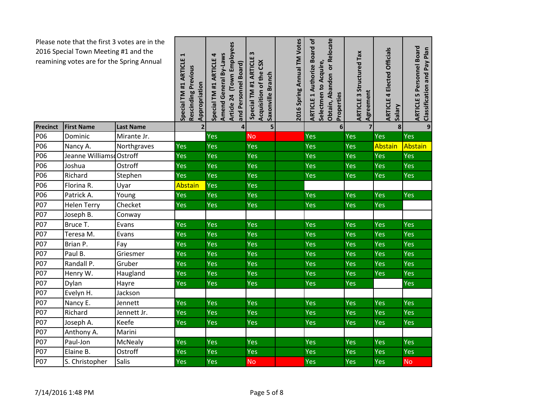| Please note that the first 3 votes are in the<br>2016 Special Town Meeting #1 and the<br>reamining votes are for the Spring Annual |                         | Special TM #1 ARTICLE 1<br>Rescinding Previous<br>Appropriation | Article 24 (Town Employees<br>Amend General By-Laws<br>Special TM #1 ARTICLE 4<br>and Personnel Board) | w<br>Special TM #1 ARTICLE<br>Acquisition of the CSX<br>Saxonville Branch | 2016 Spring Annual TM Votes | Obtain, Abandon or Relocate<br><b>ARTICLE 1 Authorize Board of</b><br>Selectmen to Acquire,<br>Properties | <b>ARTICLE 3 Structured Tax</b><br>Agreement | <b>ARTICLE 4 Elected Officials</b><br><b>Vieles</b> | <b>ARTICLE 5 Personnel Board</b><br>Classification and Pay Plan |           |
|------------------------------------------------------------------------------------------------------------------------------------|-------------------------|-----------------------------------------------------------------|--------------------------------------------------------------------------------------------------------|---------------------------------------------------------------------------|-----------------------------|-----------------------------------------------------------------------------------------------------------|----------------------------------------------|-----------------------------------------------------|-----------------------------------------------------------------|-----------|
| Precinct                                                                                                                           | <b>First Name</b>       | <b>Last Name</b>                                                | $\overline{\mathbf{2}}$                                                                                | $\overline{\mathbf{4}}$                                                   | 5                           |                                                                                                           | 6                                            | $\overline{7}$                                      | 8                                                               | 9         |
| P06                                                                                                                                | Dominic                 | Mirante Jr.                                                     |                                                                                                        | Yes                                                                       | <b>No</b>                   |                                                                                                           | Yes                                          | Yes                                                 | Yes                                                             | Yes       |
| P06                                                                                                                                | Nancy A.                | Northgraves                                                     | Yes                                                                                                    | Yes                                                                       | Yes                         |                                                                                                           | Yes                                          | Yes                                                 | Abstain                                                         | Abstain   |
| P06                                                                                                                                | Jeanne Williams Ostroff |                                                                 | Yes                                                                                                    | Yes                                                                       | <b>Yes</b>                  |                                                                                                           | Yes                                          | Yes                                                 | Yes                                                             | Yes       |
| P06                                                                                                                                | Joshua                  | Ostroff                                                         | Yes                                                                                                    | Yes                                                                       | Yes                         |                                                                                                           | Yes                                          | Yes                                                 | Yes                                                             | Yes       |
| P06                                                                                                                                | Richard                 | Stephen                                                         | Yes                                                                                                    | Yes                                                                       | Yes                         |                                                                                                           | Yes                                          | Yes                                                 | <b>Yes</b>                                                      | Yes       |
| P06                                                                                                                                | Florina R.              | Uyar                                                            | Abstain                                                                                                | Yes                                                                       | Yes                         |                                                                                                           |                                              |                                                     |                                                                 |           |
| P06                                                                                                                                | Patrick A.              | Young                                                           | Yes                                                                                                    | Yes                                                                       | Yes                         |                                                                                                           | Yes                                          | Yes                                                 | Yes                                                             | Yes       |
| <b>P07</b>                                                                                                                         | <b>Helen Terry</b>      | Checket                                                         | Yes                                                                                                    | Yes                                                                       | Yes                         |                                                                                                           | Yes                                          | Yes                                                 | Yes                                                             |           |
| <b>P07</b>                                                                                                                         | Joseph B.               | Conway                                                          |                                                                                                        |                                                                           |                             |                                                                                                           |                                              |                                                     |                                                                 |           |
| <b>P07</b>                                                                                                                         | Bruce T.                | Evans                                                           | Yes                                                                                                    | Yes                                                                       | Yes                         |                                                                                                           | Yes                                          | Yes                                                 | Yes                                                             | Yes       |
| <b>P07</b>                                                                                                                         | Teresa M.               | Evans                                                           | Yes                                                                                                    | Yes                                                                       | Yes                         |                                                                                                           | Yes                                          | Yes                                                 | Yes                                                             | Yes       |
| P07                                                                                                                                | Brian P.                | Fay                                                             | Yes                                                                                                    | Yes                                                                       | Yes                         |                                                                                                           | Yes                                          | Yes                                                 | Yes                                                             | Yes       |
| P07                                                                                                                                | Paul B.                 | Griesmer                                                        | <b>Yes</b>                                                                                             | <b>Yes</b>                                                                | <b>Yes</b>                  |                                                                                                           | Yes                                          | <b>Yes</b>                                          | Yes                                                             | Yes       |
| <b>P07</b>                                                                                                                         | Randall P.              | Gruber                                                          | Yes                                                                                                    | Yes                                                                       | Yes                         |                                                                                                           | Yes                                          | Yes                                                 | Yes                                                             | Yes       |
| <b>P07</b>                                                                                                                         | Henry W.                | Haugland                                                        | Yes                                                                                                    | Yes                                                                       | Yes                         |                                                                                                           | Yes                                          | Yes                                                 | Yes                                                             | Yes       |
| <b>P07</b>                                                                                                                         | Dylan                   | Hayre                                                           | Yes                                                                                                    | Yes                                                                       | <b>Yes</b>                  |                                                                                                           | Yes                                          | Yes                                                 |                                                                 | Yes       |
| P07                                                                                                                                | Evelyn H.               | Jackson                                                         |                                                                                                        |                                                                           |                             |                                                                                                           |                                              |                                                     |                                                                 |           |
| <b>P07</b>                                                                                                                         | Nancy E.                | Jennett                                                         | Yes                                                                                                    | Yes                                                                       | <b>Yes</b>                  |                                                                                                           | Yes                                          | Yes                                                 | Yes                                                             | Yes       |
| P07                                                                                                                                | Richard                 | Jennett Jr.                                                     | Yes                                                                                                    | <b>Yes</b>                                                                | <b>Yes</b>                  |                                                                                                           | Yes                                          | Yes                                                 | Yes                                                             | Yes       |
| <b>P07</b>                                                                                                                         | Joseph A.               | Keefe                                                           | Yes                                                                                                    | Yes                                                                       | Yes                         |                                                                                                           | Yes                                          | <b>Yes</b>                                          | Yes                                                             | Yes       |
| P07                                                                                                                                | Anthony A.              | Marini                                                          |                                                                                                        |                                                                           |                             |                                                                                                           |                                              |                                                     |                                                                 |           |
| P07                                                                                                                                | Paul-Jon                | McNealy                                                         | Yes                                                                                                    | Yes                                                                       | Yes                         |                                                                                                           | Yes                                          | Yes                                                 | Yes                                                             | Yes       |
| P07                                                                                                                                | Elaine B.               | Ostroff                                                         | Yes                                                                                                    | Yes                                                                       | Yes                         |                                                                                                           | Yes                                          | Yes                                                 | Yes                                                             | Yes       |
| <b>P07</b>                                                                                                                         | S. Christopher          | Salis                                                           | Yes                                                                                                    | Yes                                                                       | <b>No</b>                   |                                                                                                           | Yes                                          | Yes                                                 | Yes                                                             | <b>No</b> |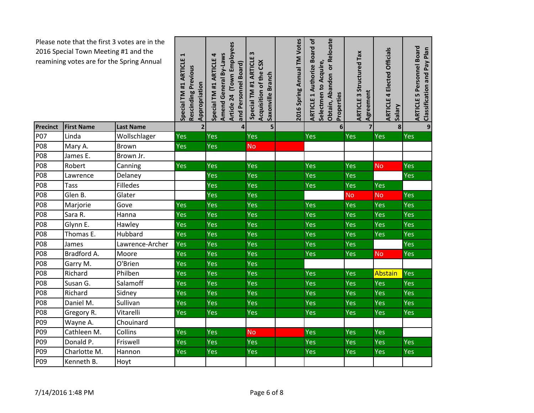| Please note that the first 3 votes are in the<br>2016 Special Town Meeting #1 and the<br>reamining votes are for the Spring Annual |                   | Special TM #1 ARTICLE 1<br>Rescinding Previous<br>Appropriation | Article 24 (Town Employees<br>Amend General By-Laws<br>Special TM #1 ARTICLE 4<br>and Personnel Board) | $\boldsymbol{\omega}$<br>ARTICLE<br>Acquisition of the CSX<br>Saxonville Branch<br>Special TM #1 | 2016 Spring Annual TM Votes | Obtain, Abandon or Relocate<br><b>ARTICLE 1 Authorize Board of</b><br>Selectmen to Acquire,<br>Properties | Structured Tax<br>Agreement<br>ARTICLE <sub>3</sub> | <b>ARTICLE 4 Elected Officials</b><br><b>Vieles</b> | 5 Personnel Board<br>Classification and Pay Plan<br><b>ARTICLE 5</b> |     |
|------------------------------------------------------------------------------------------------------------------------------------|-------------------|-----------------------------------------------------------------|--------------------------------------------------------------------------------------------------------|--------------------------------------------------------------------------------------------------|-----------------------------|-----------------------------------------------------------------------------------------------------------|-----------------------------------------------------|-----------------------------------------------------|----------------------------------------------------------------------|-----|
| Precinct                                                                                                                           | <b>First Name</b> | <b>Last Name</b>                                                | $\overline{2}$                                                                                         | $\overline{\mathbf{4}}$                                                                          | 5                           |                                                                                                           | 6                                                   |                                                     | 8                                                                    | 9   |
| <b>P07</b>                                                                                                                         | Linda             | Wollschlager                                                    | Yes                                                                                                    | Yes                                                                                              | Yes                         |                                                                                                           | Yes                                                 | Yes                                                 | <b>Yes</b>                                                           | Yes |
| <b>P08</b>                                                                                                                         | Mary A.           | Brown                                                           | Yes                                                                                                    | Yes                                                                                              | <b>No</b>                   |                                                                                                           |                                                     |                                                     |                                                                      |     |
| <b>P08</b>                                                                                                                         | James E.          | Brown Jr.                                                       |                                                                                                        |                                                                                                  |                             |                                                                                                           |                                                     |                                                     |                                                                      |     |
| <b>P08</b>                                                                                                                         | Robert            | Canning                                                         | Yes                                                                                                    | Yes                                                                                              | Yes                         |                                                                                                           | Yes                                                 | Yes                                                 | No                                                                   | Yes |
| <b>P08</b>                                                                                                                         | Lawrence          | Delaney                                                         |                                                                                                        | Yes                                                                                              | Yes                         |                                                                                                           | Yes                                                 | Yes                                                 |                                                                      | Yes |
| <b>P08</b>                                                                                                                         | <b>Tass</b>       | Filledes                                                        |                                                                                                        | Yes                                                                                              | Yes                         |                                                                                                           | Yes                                                 | Yes                                                 | Yes                                                                  |     |
| <b>P08</b>                                                                                                                         | Glen B.           | Glater                                                          |                                                                                                        | <b>Yes</b>                                                                                       | Yes                         |                                                                                                           |                                                     | <b>No</b>                                           | <b>No</b>                                                            | Yes |
| <b>P08</b>                                                                                                                         | Marjorie          | Gove                                                            | Yes                                                                                                    | Yes                                                                                              | Yes                         |                                                                                                           | Yes                                                 | Yes                                                 | Yes                                                                  | Yes |
| <b>P08</b>                                                                                                                         | Sara R.           | Hanna                                                           | Yes                                                                                                    | Yes                                                                                              | Yes                         |                                                                                                           | Yes                                                 | Yes                                                 | Yes                                                                  | Yes |
| <b>P08</b>                                                                                                                         | Glynn E.          | Hawley                                                          | Yes                                                                                                    | Yes                                                                                              | Yes                         |                                                                                                           | Yes                                                 | Yes                                                 | Yes                                                                  | Yes |
| <b>P08</b>                                                                                                                         | Thomas E.         | Hubbard                                                         | Yes                                                                                                    | Yes                                                                                              | Yes                         |                                                                                                           | Yes                                                 | Yes                                                 | Yes                                                                  | Yes |
| <b>P08</b>                                                                                                                         | James             | Lawrence-Archer                                                 | Yes                                                                                                    | <b>Yes</b>                                                                                       | Yes                         |                                                                                                           | Yes                                                 | Yes                                                 |                                                                      | Yes |
| P08                                                                                                                                | Bradford A.       | Moore                                                           | Yes                                                                                                    | Yes                                                                                              | Yes                         |                                                                                                           | Yes                                                 | Yes                                                 | <b>No</b>                                                            | Yes |
| <b>P08</b>                                                                                                                         | Garry M.          | O'Brien                                                         | Yes                                                                                                    | Yes                                                                                              | Yes                         |                                                                                                           |                                                     |                                                     |                                                                      |     |
| <b>P08</b>                                                                                                                         | Richard           | Philben                                                         | Yes                                                                                                    | Yes                                                                                              | Yes                         |                                                                                                           | Yes                                                 | Yes                                                 | Abstain                                                              | Yes |
| <b>P08</b>                                                                                                                         | Susan G.          | Salamoff                                                        | Yes                                                                                                    | Yes                                                                                              | Yes                         |                                                                                                           | Yes                                                 | Yes                                                 | Yes                                                                  | Yes |
| <b>P08</b>                                                                                                                         | Richard           | Sidney                                                          | Yes                                                                                                    | Yes                                                                                              | Yes                         |                                                                                                           | Yes                                                 | Yes                                                 | Yes                                                                  | Yes |
| <b>P08</b>                                                                                                                         | Daniel M.         | Sullivan                                                        | Yes                                                                                                    | Yes                                                                                              | Yes                         |                                                                                                           | Yes                                                 | Yes                                                 | Yes                                                                  | Yes |
| P08                                                                                                                                | Gregory R.        | Vitarelli                                                       | Yes                                                                                                    | Yes                                                                                              | Yes                         |                                                                                                           | Yes                                                 | Yes                                                 | Yes                                                                  | Yes |
| P09                                                                                                                                | Wayne A.          | Chouinard                                                       |                                                                                                        |                                                                                                  |                             |                                                                                                           |                                                     |                                                     |                                                                      |     |
| P <sub>09</sub>                                                                                                                    | Cathleen M.       | Collins                                                         | Yes                                                                                                    | Yes                                                                                              | <b>No</b>                   |                                                                                                           | Yes                                                 | Yes                                                 | <b>Yes</b>                                                           |     |
| P09                                                                                                                                | Donald P.         | Friswell                                                        | Yes                                                                                                    | Yes                                                                                              | <b>Yes</b>                  |                                                                                                           | Yes                                                 | Yes                                                 | Yes                                                                  | Yes |
| P09                                                                                                                                | Charlotte M.      | Hannon                                                          | Yes                                                                                                    | Yes                                                                                              | <b>Yes</b>                  |                                                                                                           | Yes                                                 | Yes                                                 | Yes                                                                  | Yes |
| P09                                                                                                                                | Kenneth B.        | Hoyt                                                            |                                                                                                        |                                                                                                  |                             |                                                                                                           |                                                     |                                                     |                                                                      |     |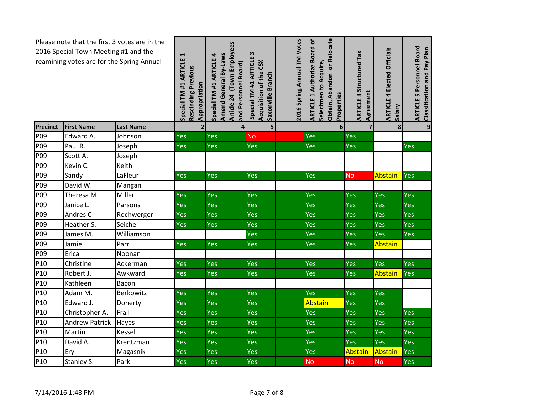| Please note that the first 3 votes are in the<br>2016 Special Town Meeting #1 and the<br>reamining votes are for the Spring Annual |                       | Special TM #1 ARTICLE 1<br>Rescinding Previous<br>Appropriation | Article 24 (Town Employees<br>Amend General By-Laws<br>Special TM #1 ARTICLE 4<br>and Personnel Board) | m<br>Special TM #1 ARTICLE<br>Acquisition of the CSX<br>Saxonville Branch | 2016 Spring Annual TM Votes | Obtain, Abandon or Relocate<br><b>ARTICLE 1 Authorize Board of</b><br>Selectmen to Acquire,<br>Properties | <b>ARTICLE 3 Structured Tax</b><br>Agreement | <b>ARTICLE 4 Elected Officials</b><br><b>Vieles</b> | 5 Personnel Board<br>Classification and Pay Plan<br><b>ARTICLE</b> |            |
|------------------------------------------------------------------------------------------------------------------------------------|-----------------------|-----------------------------------------------------------------|--------------------------------------------------------------------------------------------------------|---------------------------------------------------------------------------|-----------------------------|-----------------------------------------------------------------------------------------------------------|----------------------------------------------|-----------------------------------------------------|--------------------------------------------------------------------|------------|
| Precinct                                                                                                                           | <b>First Name</b>     | <b>Last Name</b>                                                | $\overline{2}$                                                                                         | $\overline{\mathbf{4}}$                                                   | 5                           |                                                                                                           | 6                                            | $\overline{7}$                                      | 8                                                                  | 9          |
| P09                                                                                                                                | Edward A.             | Johnson                                                         | Yes                                                                                                    | Yes                                                                       | <b>No</b>                   |                                                                                                           | Yes                                          | Yes                                                 |                                                                    |            |
| P <sub>09</sub>                                                                                                                    | Paul R.               | Joseph                                                          | Yes                                                                                                    | <b>Yes</b>                                                                | Yes                         |                                                                                                           | Yes                                          | Yes                                                 |                                                                    | Yes        |
| P <sub>09</sub>                                                                                                                    | Scott A.              | Joseph                                                          |                                                                                                        |                                                                           |                             |                                                                                                           |                                              |                                                     |                                                                    |            |
| P09                                                                                                                                | Kevin C.              | Keith                                                           |                                                                                                        |                                                                           |                             |                                                                                                           |                                              |                                                     |                                                                    |            |
| P09                                                                                                                                | Sandy                 | LaFleur                                                         | Yes                                                                                                    | Yes                                                                       | Yes                         |                                                                                                           | Yes                                          | <b>No</b>                                           | <b>Abstain</b>                                                     | Yes        |
| P <sub>09</sub>                                                                                                                    | David W.              | Mangan                                                          |                                                                                                        |                                                                           |                             |                                                                                                           |                                              |                                                     |                                                                    |            |
| P <sub>09</sub>                                                                                                                    | Theresa M.            | Miller                                                          | Yes                                                                                                    | Yes                                                                       | Yes                         |                                                                                                           | Yes                                          | <b>Yes</b>                                          | Yes                                                                | Yes        |
| P09                                                                                                                                | Janice L.             | Parsons                                                         | Yes                                                                                                    | Yes                                                                       | Yes                         |                                                                                                           | Yes                                          | Yes                                                 | Yes                                                                | Yes        |
| P <sub>09</sub>                                                                                                                    | Andres C              | Rochwerger                                                      | Yes                                                                                                    | Yes                                                                       | Yes                         |                                                                                                           | Yes                                          | Yes                                                 | Yes                                                                | Yes        |
| P <sub>09</sub>                                                                                                                    | Heather S.            | Seiche                                                          | Yes                                                                                                    | Yes                                                                       | Yes                         |                                                                                                           | Yes                                          | Yes                                                 | Yes                                                                | Yes        |
| P09                                                                                                                                | James M.              | Williamson                                                      |                                                                                                        |                                                                           | Yes                         |                                                                                                           | Yes                                          | Yes                                                 | Yes                                                                | Yes        |
| P <sub>09</sub>                                                                                                                    | Jamie                 | Parr                                                            | Yes                                                                                                    | Yes                                                                       | Yes                         |                                                                                                           | Yes                                          | Yes                                                 | Abstain                                                            |            |
| P <sub>09</sub>                                                                                                                    | Erica                 | Noonan                                                          |                                                                                                        |                                                                           |                             |                                                                                                           |                                              |                                                     |                                                                    |            |
| P10                                                                                                                                | Christine             | Ackerman                                                        | Yes                                                                                                    | Yes                                                                       | Yes                         |                                                                                                           | Yes                                          | Yes                                                 | Yes                                                                | Yes        |
| P <sub>10</sub>                                                                                                                    | Robert J.             | Awkward                                                         | Yes                                                                                                    | Yes                                                                       | Yes                         |                                                                                                           | Yes                                          | Yes                                                 | Abstain                                                            | Yes        |
| P <sub>10</sub>                                                                                                                    | Kathleen              | Bacon                                                           |                                                                                                        |                                                                           |                             |                                                                                                           |                                              |                                                     |                                                                    |            |
| P10                                                                                                                                | Adam M.               | Berkowitz                                                       | Yes                                                                                                    | Yes                                                                       | Yes                         |                                                                                                           | Yes                                          | Yes                                                 | Yes                                                                |            |
| P10                                                                                                                                | Edward J.             | Doherty                                                         | Yes                                                                                                    | Yes                                                                       | Yes                         |                                                                                                           | <b>Abstain</b>                               | Yes                                                 | Yes                                                                |            |
| P10                                                                                                                                | Christopher A.        | Frail                                                           | Yes                                                                                                    | Yes                                                                       | Yes                         |                                                                                                           | Yes                                          | <b>Yes</b>                                          | Yes                                                                | Yes        |
| P10                                                                                                                                | <b>Andrew Patrick</b> | Hayes                                                           | Yes                                                                                                    | Yes                                                                       | Yes                         |                                                                                                           | Yes                                          | Yes                                                 | Yes                                                                | Yes        |
| P <sub>10</sub>                                                                                                                    | Martin                | Kessel                                                          | Yes                                                                                                    | Yes                                                                       | Yes                         |                                                                                                           | Yes                                          | Yes                                                 | Yes                                                                | Yes        |
| P <sub>10</sub>                                                                                                                    | David A.              | Krentzman                                                       | Yes                                                                                                    | Yes                                                                       | Yes                         |                                                                                                           | Yes                                          | Yes                                                 | Yes                                                                | <b>Yes</b> |
| P10                                                                                                                                | Ery                   | Magasnik                                                        | Yes                                                                                                    | <b>Yes</b>                                                                | Yes                         |                                                                                                           | Yes                                          | Abstain                                             | Abstain                                                            | Yes        |
| P10                                                                                                                                | Stanley S.            | Park                                                            | <b>Yes</b>                                                                                             | Yes                                                                       | Yes                         |                                                                                                           | <b>No</b>                                    | <b>No</b>                                           | <b>No</b>                                                          | Yes        |